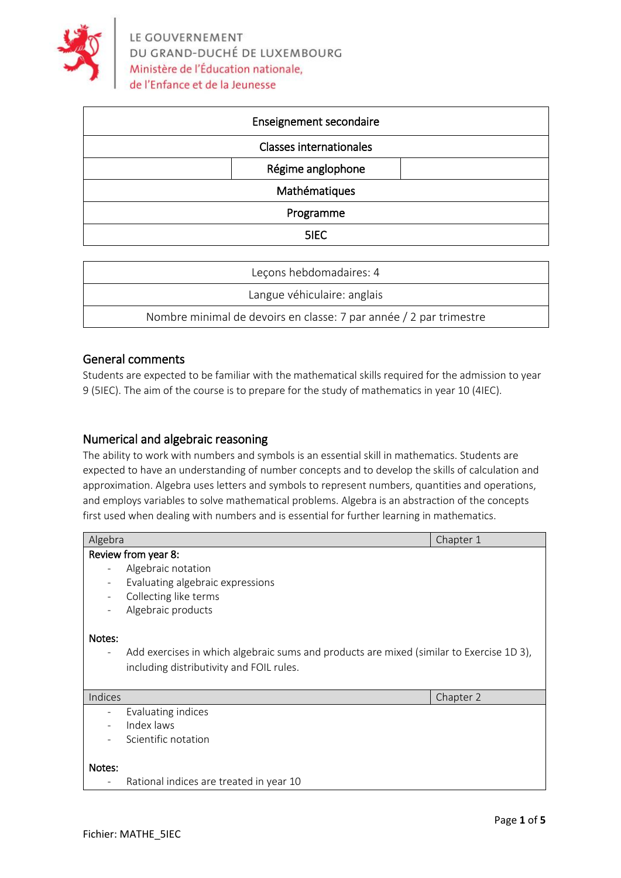

| Enseignement secondaire        |  |
|--------------------------------|--|
| <b>Classes internationales</b> |  |
| Régime anglophone              |  |
| Mathématiques                  |  |
| Programme                      |  |
| 5IEC                           |  |

| Leçons hebdomadaires: 4                                            |  |
|--------------------------------------------------------------------|--|
| Langue véhiculaire: anglais                                        |  |
| Nombre minimal de devoirs en classe: 7 par année / 2 par trimestre |  |

#### General comments

Students are expected to be familiar with the mathematical skills required for the admission to year 9 (5IEC). The aim of the course is to prepare for the study of mathematics in year 10 (4IEC).

#### Numerical and algebraic reasoning

The ability to work with numbers and symbols is an essential skill in mathematics. Students are expected to have an understanding of number concepts and to develop the skills of calculation and approximation. Algebra uses letters and symbols to represent numbers, quantities and operations, and employs variables to solve mathematical problems. Algebra is an abstraction of the concepts first used when dealing with numbers and is essential for further learning in mathematics.

| Algebra                  |                                                                                          | Chapter 1 |
|--------------------------|------------------------------------------------------------------------------------------|-----------|
|                          | Review from year 8:                                                                      |           |
|                          | Algebraic notation                                                                       |           |
|                          | Evaluating algebraic expressions                                                         |           |
|                          | Collecting like terms                                                                    |           |
|                          | Algebraic products                                                                       |           |
|                          |                                                                                          |           |
| Notes:                   |                                                                                          |           |
| $\overline{\phantom{a}}$ | Add exercises in which algebraic sums and products are mixed (similar to Exercise 1D 3), |           |
|                          | including distributivity and FOIL rules.                                                 |           |
|                          |                                                                                          |           |
| Indices                  |                                                                                          | Chapter 2 |
|                          | Evaluating indices                                                                       |           |
|                          | Index laws                                                                               |           |
|                          | Scientific notation                                                                      |           |
|                          |                                                                                          |           |
| Notes:                   |                                                                                          |           |
|                          | Rational indices are treated in year 10                                                  |           |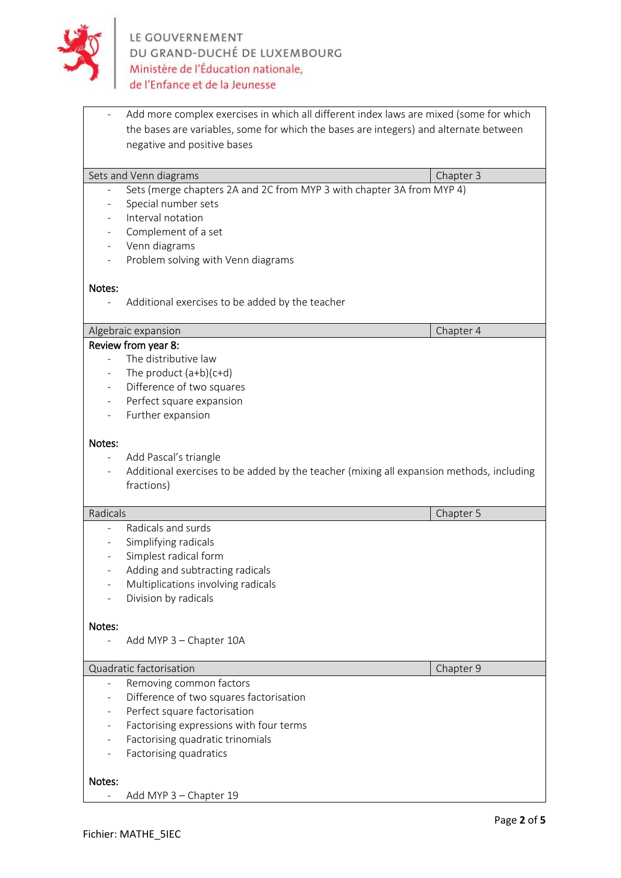

|                          | Add more complex exercises in which all different index laws are mixed (some for which   |           |  |
|--------------------------|------------------------------------------------------------------------------------------|-----------|--|
|                          | the bases are variables, some for which the bases are integers) and alternate between    |           |  |
|                          | negative and positive bases                                                              |           |  |
|                          | Sets and Venn diagrams                                                                   | Chapter 3 |  |
|                          | Sets (merge chapters 2A and 2C from MYP 3 with chapter 3A from MYP 4)                    |           |  |
|                          | Special number sets                                                                      |           |  |
|                          | Interval notation                                                                        |           |  |
|                          | Complement of a set                                                                      |           |  |
|                          | Venn diagrams                                                                            |           |  |
|                          | Problem solving with Venn diagrams                                                       |           |  |
| Notes:                   |                                                                                          |           |  |
|                          | Additional exercises to be added by the teacher                                          |           |  |
|                          |                                                                                          |           |  |
|                          | Algebraic expansion                                                                      | Chapter 4 |  |
|                          | Review from year 8:                                                                      |           |  |
|                          | The distributive law                                                                     |           |  |
|                          | The product $(a+b)(c+d)$                                                                 |           |  |
| $\overline{\phantom{a}}$ | Difference of two squares                                                                |           |  |
| $\overline{\phantom{a}}$ | Perfect square expansion                                                                 |           |  |
|                          | Further expansion                                                                        |           |  |
| Notes:                   |                                                                                          |           |  |
| $\overline{\phantom{a}}$ | Add Pascal's triangle                                                                    |           |  |
|                          | Additional exercises to be added by the teacher (mixing all expansion methods, including |           |  |
|                          | fractions)                                                                               |           |  |
|                          |                                                                                          |           |  |
| Radicals                 |                                                                                          | Chapter 5 |  |
|                          | Radicals and surds                                                                       |           |  |
|                          | Simplifying radicals                                                                     |           |  |
|                          | Simplest radical form                                                                    |           |  |
|                          | Adding and subtracting radicals                                                          |           |  |
|                          | Multiplications involving radicals                                                       |           |  |
|                          | Division by radicals                                                                     |           |  |
| Notes:                   |                                                                                          |           |  |
|                          | Add MYP 3 - Chapter 10A                                                                  |           |  |
|                          |                                                                                          |           |  |
|                          | Quadratic factorisation                                                                  | Chapter 9 |  |
|                          | Removing common factors                                                                  |           |  |
|                          | Difference of two squares factorisation                                                  |           |  |
|                          | Perfect square factorisation                                                             |           |  |
| $\overline{\phantom{0}}$ | Factorising expressions with four terms                                                  |           |  |
| $\overline{\phantom{0}}$ | Factorising quadratic trinomials                                                         |           |  |
|                          | Factorising quadratics                                                                   |           |  |
|                          |                                                                                          |           |  |
| Notes:                   |                                                                                          |           |  |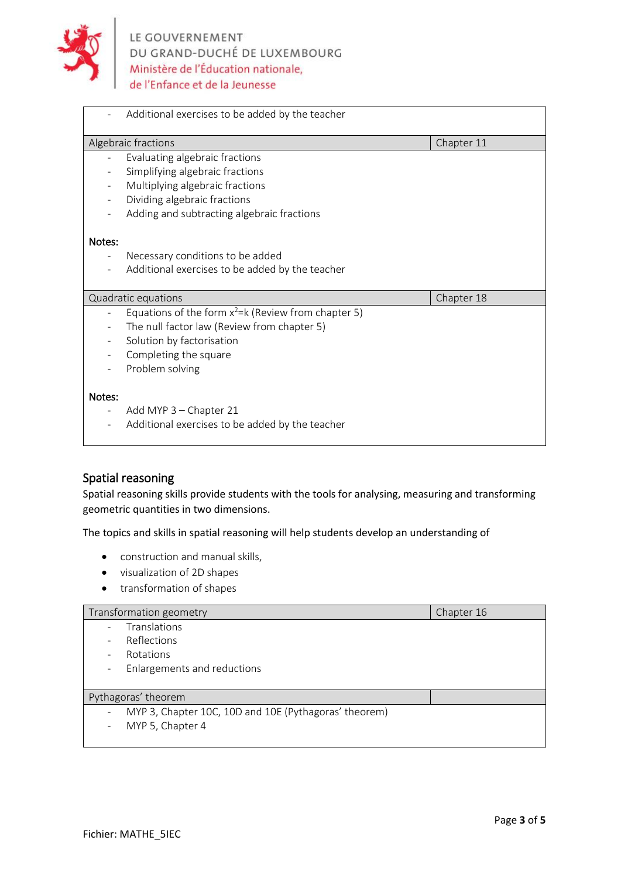

|        | Additional exercises to be added by the teacher                           |            |
|--------|---------------------------------------------------------------------------|------------|
|        | Algebraic fractions                                                       | Chapter 11 |
|        | Evaluating algebraic fractions                                            |            |
|        | Simplifying algebraic fractions                                           |            |
|        | Multiplying algebraic fractions                                           |            |
|        | Dividing algebraic fractions                                              |            |
|        | Adding and subtracting algebraic fractions                                |            |
| Notes: |                                                                           |            |
|        | Necessary conditions to be added                                          |            |
|        | Additional exercises to be added by the teacher                           |            |
|        |                                                                           |            |
|        | Quadratic equations                                                       | Chapter 18 |
|        | Equations of the form $x^2=k$ (Review from chapter 5)                     |            |
|        | The null factor law (Review from chapter 5)                               |            |
|        | Solution by factorisation                                                 |            |
|        | Completing the square                                                     |            |
|        |                                                                           |            |
|        |                                                                           |            |
|        |                                                                           |            |
| Notes: |                                                                           |            |
|        | Add MYP 3 - Chapter 21<br>Additional exercises to be added by the teacher |            |
|        | Problem solving                                                           |            |

# Spatial reasoning

Spatial reasoning skills provide students with the tools for analysing, measuring and transforming geometric quantities in two dimensions.

The topics and skills in spatial reasoning will help students develop an understanding of

- construction and manual skills,
- visualization of 2D shapes
- transformation of shapes

| Transformation geometry                                 | Chapter 16 |
|---------------------------------------------------------|------------|
| Translations                                            |            |
| Reflections<br>$\overline{\phantom{a}}$                 |            |
| Rotations<br>$\overline{\phantom{a}}$                   |            |
| Enlargements and reductions<br>$\overline{\phantom{a}}$ |            |
|                                                         |            |
| Pythagoras' theorem                                     |            |
| MYP 3, Chapter 10C, 10D and 10E (Pythagoras' theorem)   |            |
| MYP 5, Chapter 4<br>$\overline{\phantom{a}}$            |            |
|                                                         |            |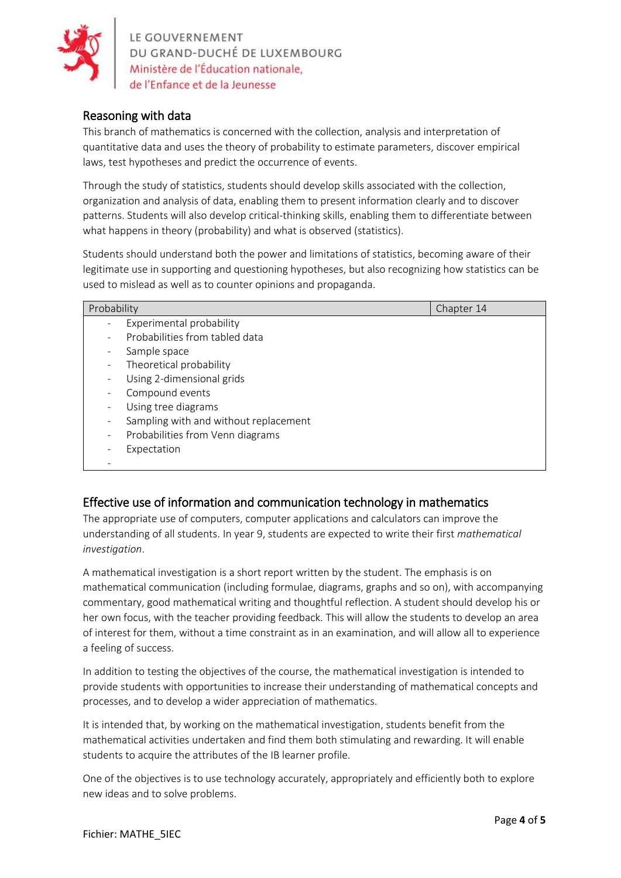

LE GOUVERNEMENT<br>DU GRAND-DUCHÉ DE LUXEMBOURG<br>Ministère de l'Éducation nationale,

## Reasoning with data

This branch of mathematics is concerned with the collection, analysis and interpretation of quantitative data and uses the theory of probability to estimate parameters, discover empirical laws, test hypotheses and predict the occurrence of events.

Through the study of statistics, students should develop skills associated with the collection, organization and analysis of data, enabling them to present information clearly and to discover patterns. Students will also develop critical-thinking skills, enabling them to differentiate between what happens in theory (probability) and what is observed (statistics).

Students should understand both the power and limitations of statistics, becoming aware of their legitimate use in supporting and questioning hypotheses, but also recognizing how statistics can be used to mislead as well as to counter opinions and propaganda.

| Probability |                                       | Chapter 14 |
|-------------|---------------------------------------|------------|
|             | Experimental probability              |            |
|             | Probabilities from tabled data        |            |
|             | Sample space                          |            |
|             | Theoretical probability               |            |
|             | Using 2-dimensional grids             |            |
|             | Compound events                       |            |
|             | Using tree diagrams                   |            |
|             | Sampling with and without replacement |            |
|             | Probabilities from Venn diagrams      |            |
|             | Expectation                           |            |
|             |                                       |            |

# Effective use of information and communication technology in mathematics

The appropriate use of computers, computer applications and calculators can improve the understanding of all students. In year 9, students are expected to write their first *mathematical investigation*.

A mathematical investigation is a short report written by the student. The emphasis is on mathematical communication (including formulae, diagrams, graphs and so on), with accompanying commentary, good mathematical writing and thoughtful reflection. A student should develop his or her own focus, with the teacher providing feedback. This will allow the students to develop an area of interest for them, without a time constraint as in an examination, and will allow all to experience a feeling of success.

In addition to testing the objectives of the course, the mathematical investigation is intended to provide students with opportunities to increase their understanding of mathematical concepts and processes, and to develop a wider appreciation of mathematics.

It is intended that, by working on the mathematical investigation, students benefit from the mathematical activities undertaken and find them both stimulating and rewarding. It will enable students to acquire the attributes of the IB learner profile.

One of the objectives is to use technology accurately, appropriately and efficiently both to explore new ideas and to solve problems.